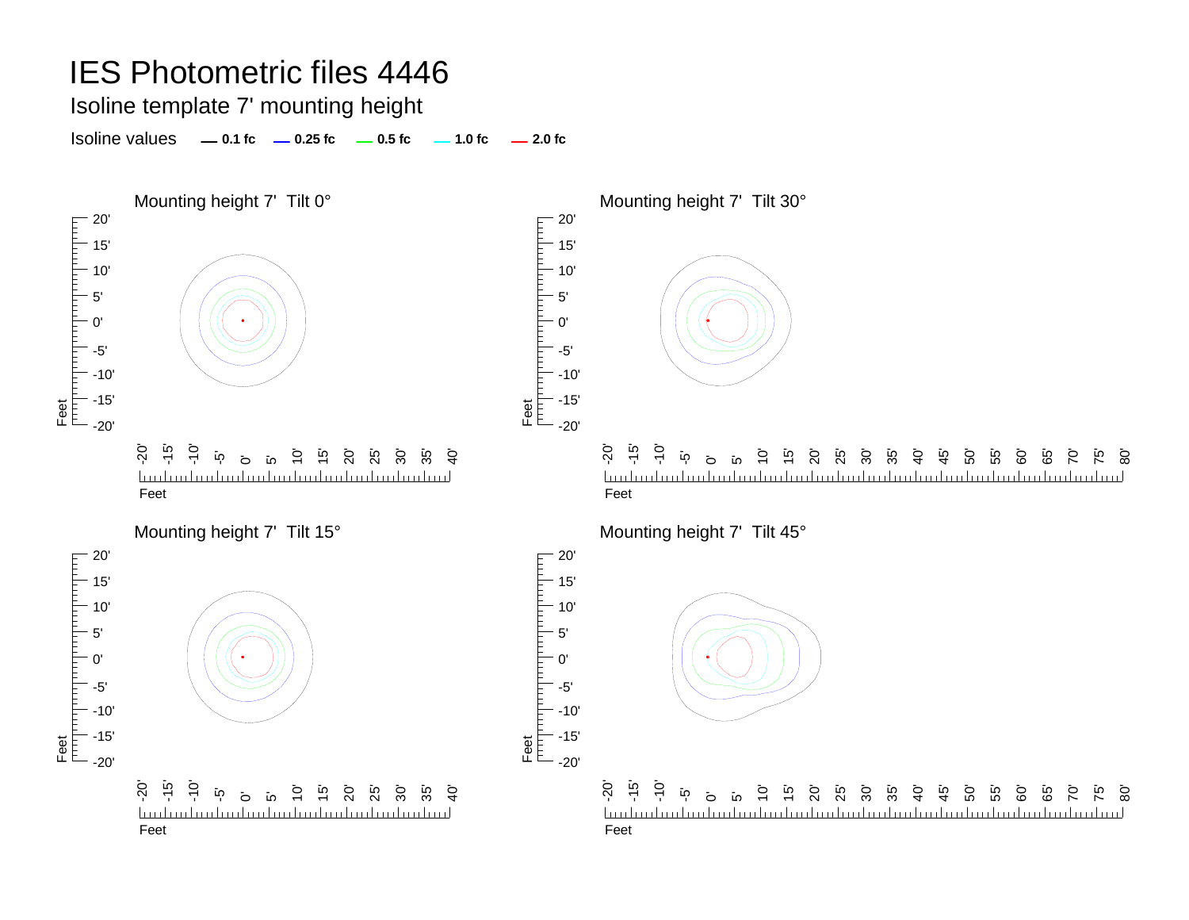Isoline template 7' mounting height

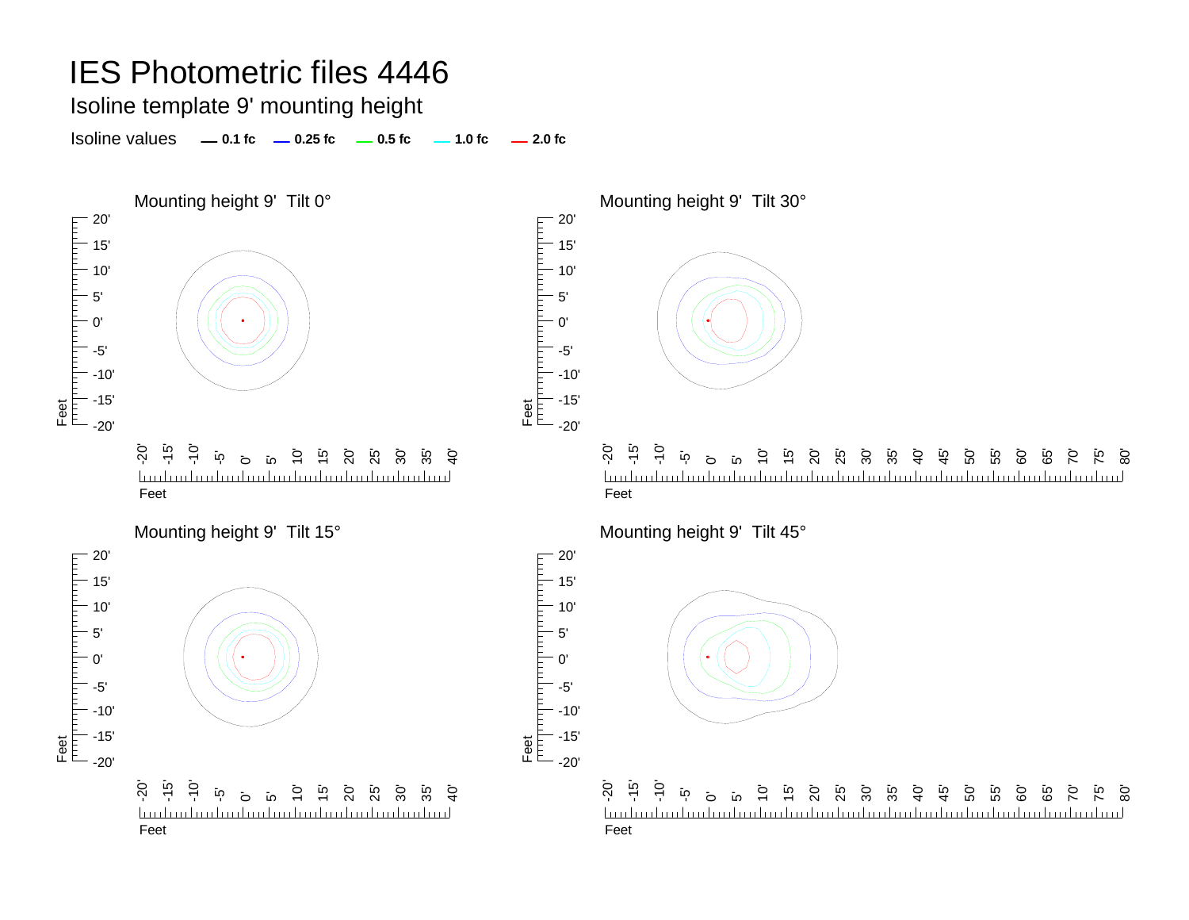Isoline template 9' mounting height

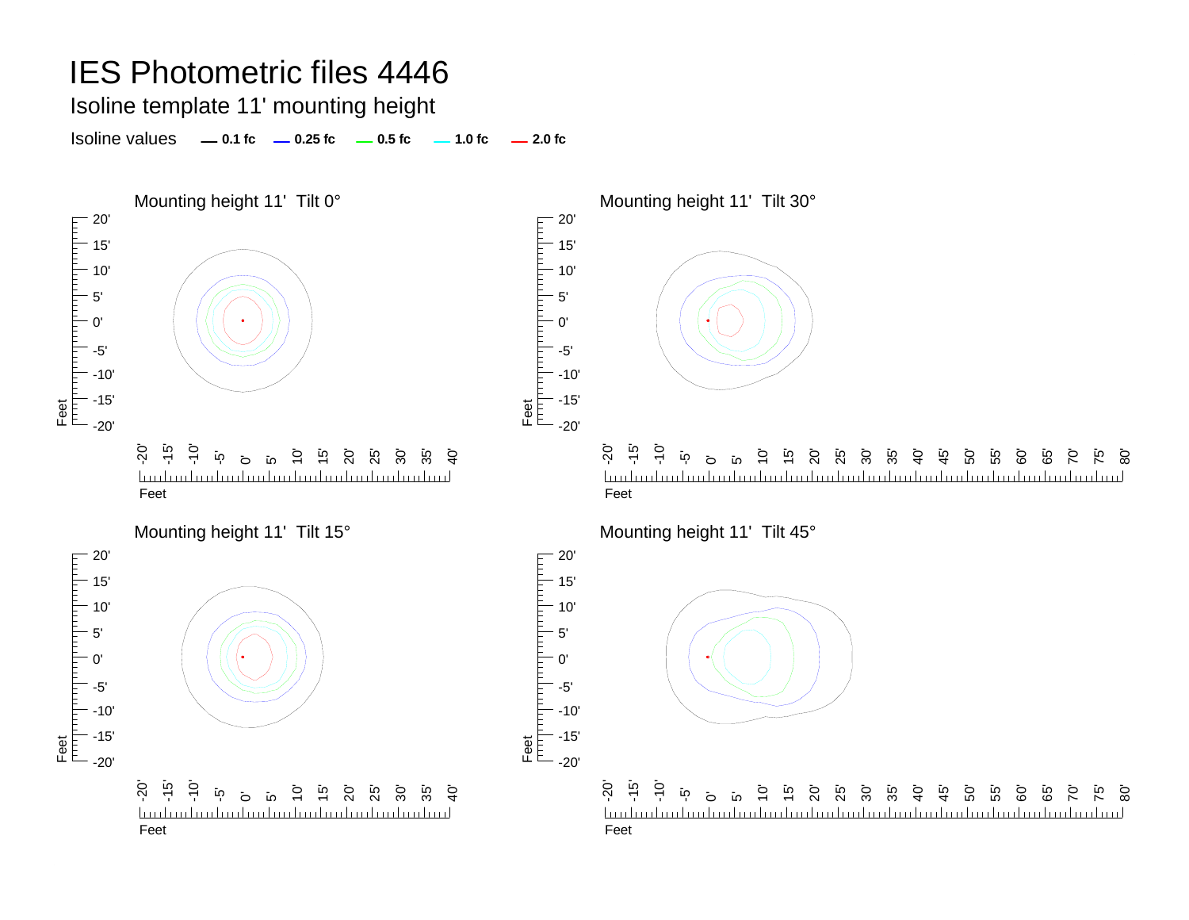Isoline template 11' mounting height

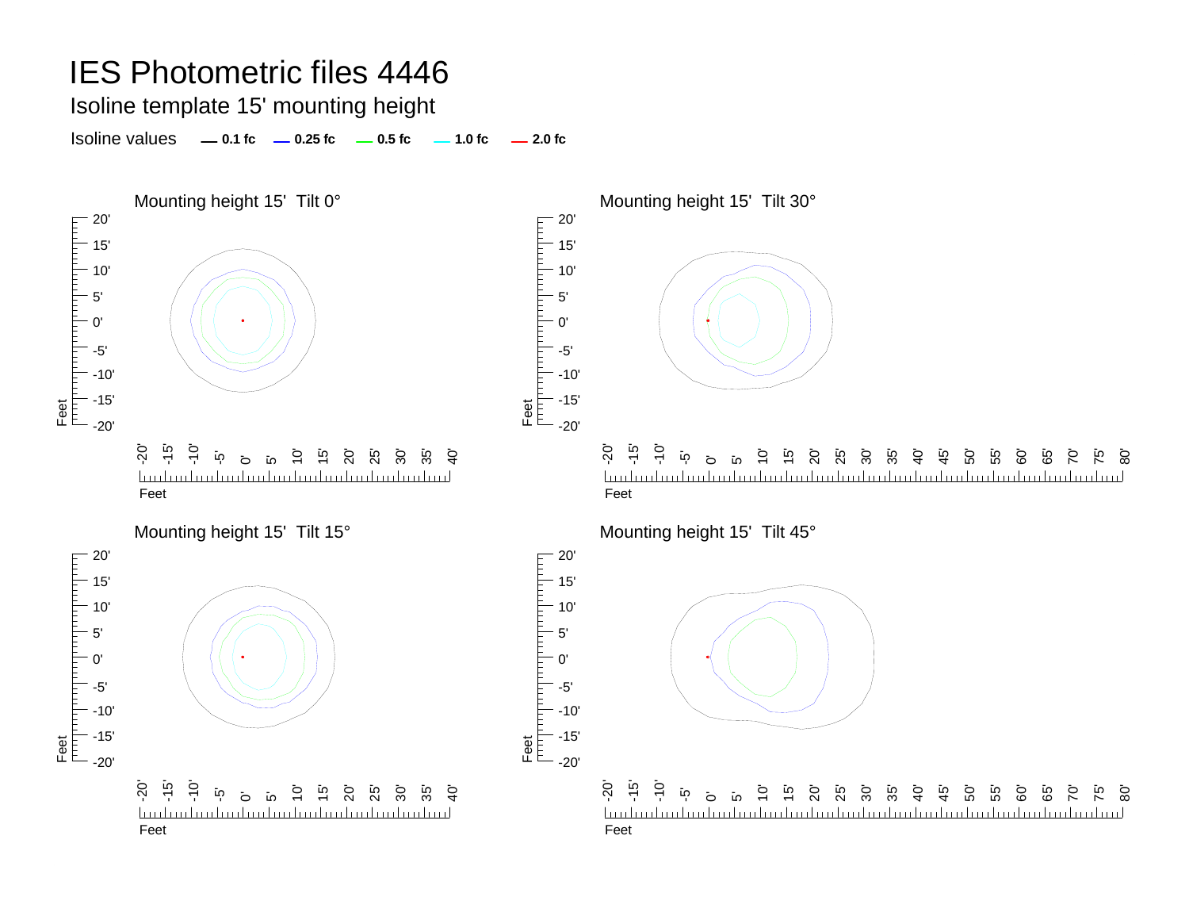Isoline template 15' mounting height

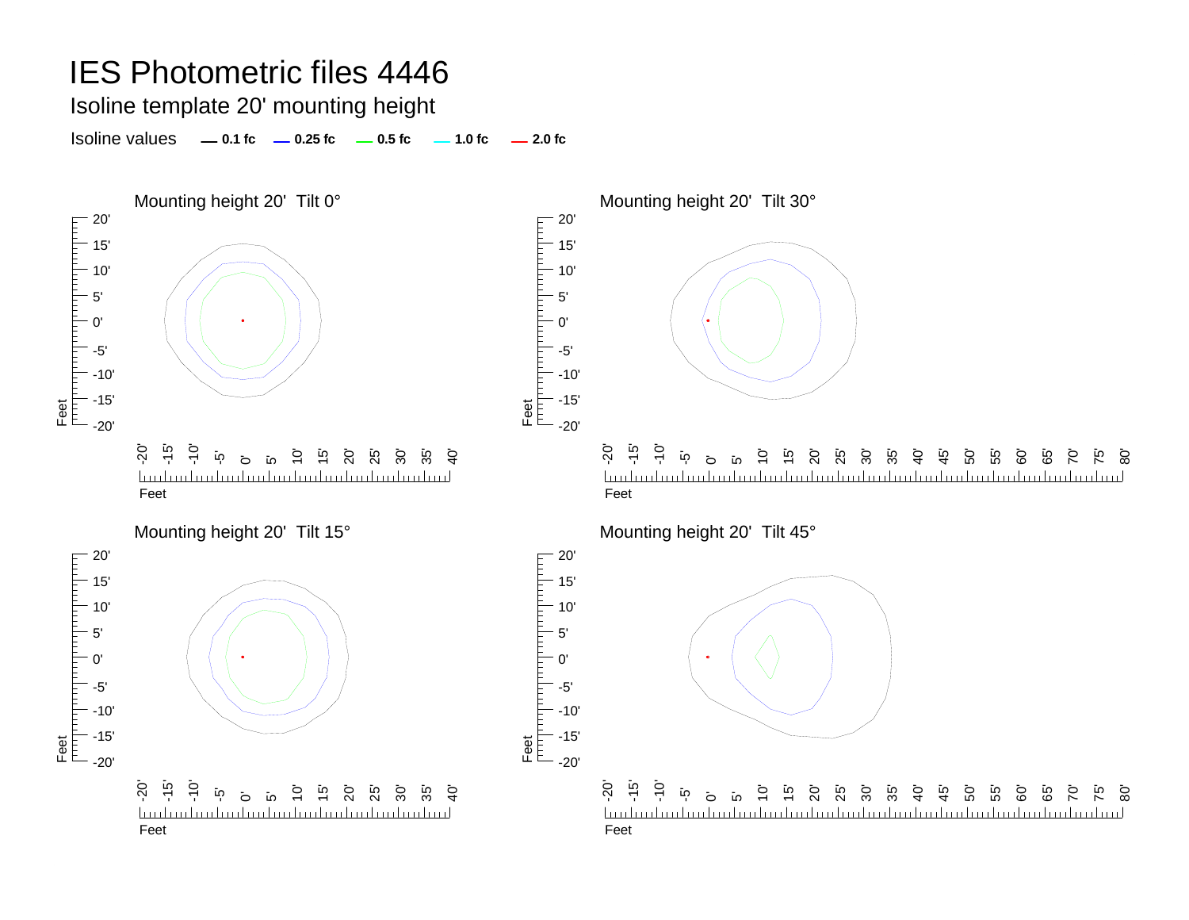Isoline template 20' mounting height

Isoline values **0.1 fc 0.25 fc 0.5 fc 2.0 fc 1.0 fc**





Feet<br>|<sup>|||||</sup>|<sup>|||||||||</sup>||

5'

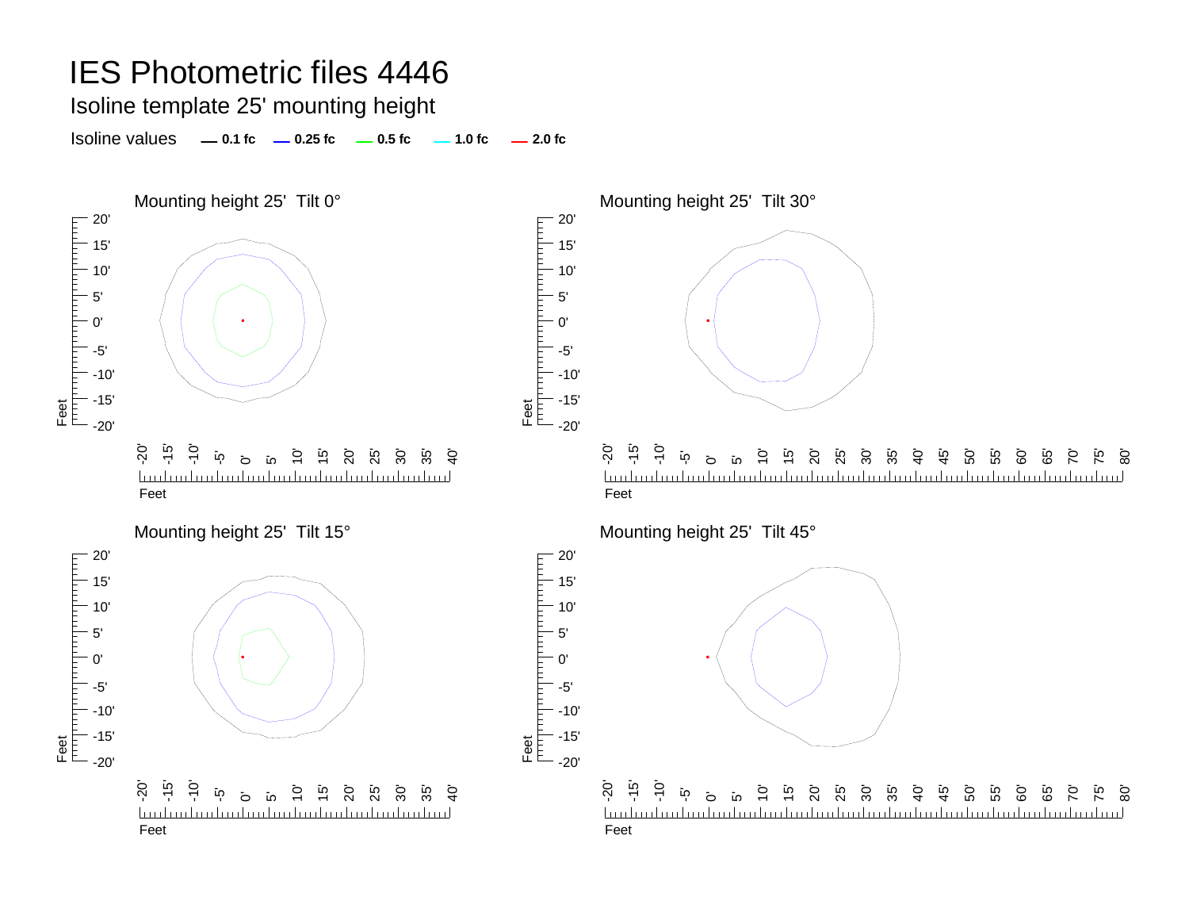Isoline template 25' mounting height

Isoline values **0.1 fc 0.25 fc 0.5 fc 2.0 fc 1.0 fc**



Feet

Feet<br>|<sup>|||||</sup>|<sup>|||||</sup>||<sup>|</sup>

5' 0'

-5'